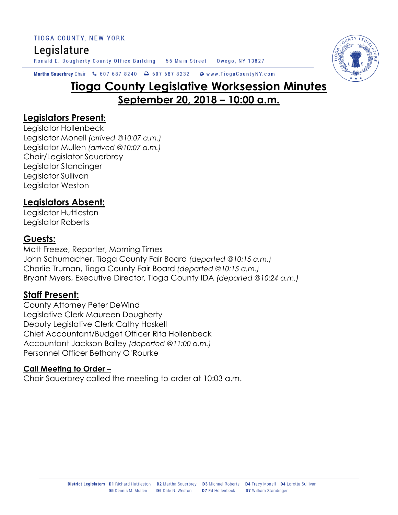TIOGA COUNTY, NEW YORK

# Legislature

Ronald E. Dougherty County Office Building 56 Main Street Owego, NY 13827



#### Martha Sauerbrey Chair & 607 687 8240 A 607 687 8232 Www.TiogaCountyNY.com

# **Tioga County Legislative Worksession Minutes September 20, 2018 – 10:00 a.m.**

#### **Legislators Present:**

Legislator Hollenbeck Legislator Monell *(arrived @10:07 a.m.)* Legislator Mullen *(arrived @10:07 a.m.)* Chair/Legislator Sauerbrey Legislator Standinger Legislator Sullivan Legislator Weston

# **Legislators Absent:**

Legislator Huttleston Legislator Roberts

#### **Guests:**

Matt Freeze, Reporter, Morning Times John Schumacher, Tioga County Fair Board *(departed @10:15 a.m.)* Charlie Truman, Tioga County Fair Board *(departed @10:15 a.m.)* Bryant Myers, Executive Director, Tioga County IDA *(departed @10:24 a.m.)*

#### **Staff Present:**

County Attorney Peter DeWind Legislative Clerk Maureen Dougherty Deputy Legislative Clerk Cathy Haskell Chief Accountant/Budget Officer Rita Hollenbeck Accountant Jackson Bailey *(departed @11:00 a.m.)* Personnel Officer Bethany O'Rourke

#### **Call Meeting to Order –**

Chair Sauerbrey called the meeting to order at 10:03 a.m.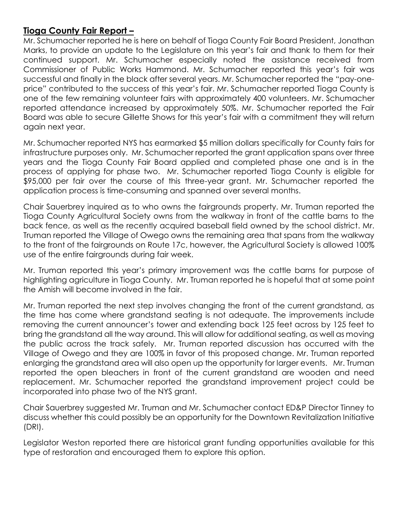#### **Tioga County Fair Report –**

Mr. Schumacher reported he is here on behalf of Tioga County Fair Board President, Jonathan Marks, to provide an update to the Legislature on this year's fair and thank to them for their continued support. Mr. Schumacher especially noted the assistance received from Commissioner of Public Works Hammond. Mr. Schumacher reported this year's fair was successful and finally in the black after several years. Mr. Schumacher reported the "pay-oneprice" contributed to the success of this year's fair. Mr. Schumacher reported Tioga County is one of the few remaining volunteer fairs with approximately 400 volunteers. Mr. Schumacher reported attendance increased by approximately 50%. Mr. Schumacher reported the Fair Board was able to secure Gillette Shows for this year's fair with a commitment they will return again next year.

Mr. Schumacher reported NYS has earmarked \$5 million dollars specifically for County fairs for infrastructure purposes only. Mr. Schumacher reported the grant application spans over three years and the Tioga County Fair Board applied and completed phase one and is in the process of applying for phase two. Mr. Schumacher reported Tioga County is eligible for \$95,000 per fair over the course of this three-year grant. Mr. Schumacher reported the application process is time-consuming and spanned over several months.

Chair Sauerbrey inquired as to who owns the fairgrounds property. Mr. Truman reported the Tioga County Agricultural Society owns from the walkway in front of the cattle barns to the back fence, as well as the recently acquired baseball field owned by the school district. Mr. Truman reported the Village of Owego owns the remaining area that spans from the walkway to the front of the fairgrounds on Route 17c, however, the Agricultural Society is allowed 100% use of the entire fairgrounds during fair week.

Mr. Truman reported this year's primary improvement was the cattle barns for purpose of highlighting agriculture in Tioga County. Mr. Truman reported he is hopeful that at some point the Amish will become involved in the fair.

Mr. Truman reported the next step involves changing the front of the current grandstand, as the time has come where grandstand seating is not adequate. The improvements include removing the current announcer's tower and extending back 125 feet across by 125 feet to bring the grandstand all the way around. This will allow for additional seating, as well as moving the public across the track safely. Mr. Truman reported discussion has occurred with the Village of Owego and they are 100% in favor of this proposed change. Mr. Truman reported enlarging the grandstand area will also open up the opportunity for larger events. Mr. Truman reported the open bleachers in front of the current grandstand are wooden and need replacement. Mr. Schumacher reported the grandstand improvement project could be incorporated into phase two of the NYS grant.

Chair Sauerbrey suggested Mr. Truman and Mr. Schumacher contact ED&P Director Tinney to discuss whether this could possibly be an opportunity for the Downtown Revitalization Initiative (DRI).

Legislator Weston reported there are historical grant funding opportunities available for this type of restoration and encouraged them to explore this option.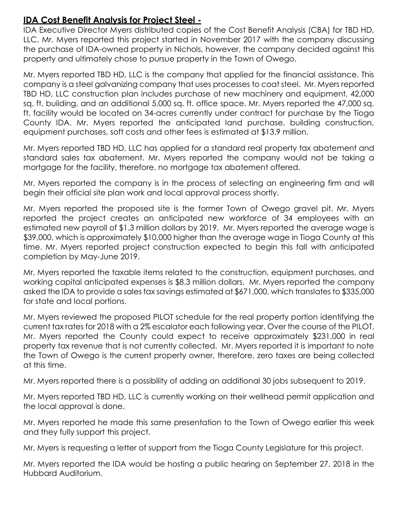#### **IDA Cost Benefit Analysis for Project Steel -**

IDA Executive Director Myers distributed copies of the Cost Benefit Analysis (CBA) for TBD HD, LLC. Mr. Myers reported this project started in November 2017 with the company discussing the purchase of IDA-owned property in Nichols, however, the company decided against this property and ultimately chose to pursue property in the Town of Owego.

Mr. Myers reported TBD HD, LLC is the company that applied for the financial assistance. This company is a steel galvanizing company that uses processes to coat steel. Mr. Myers reported TBD HD, LLC construction plan includes purchase of new machinery and equipment, 42,000 sq. ft. building, and an additional 5,000 sq. ft. office space. Mr. Myers reported the 47,000 sq. ft. facility would be located on 34-acres currently under contract for purchase by the Tioga County IDA. Mr. Myers reported the anticipated land purchase, building construction, equipment purchases, soft costs and other fees is estimated at \$13.9 million.

Mr. Myers reported TBD HD, LLC has applied for a standard real property tax abatement and standard sales tax abatement. Mr. Myers reported the company would not be taking a mortgage for the facility, therefore, no mortgage tax abatement offered.

Mr. Myers reported the company is in the process of selecting an engineering firm and will begin their official site plan work and local approval process shortly.

Mr. Myers reported the proposed site is the former Town of Owego gravel pit. Mr. Myers reported the project creates an anticipated new workforce of 34 employees with an estimated new payroll of \$1.3 million dollars by 2019. Mr. Myers reported the average wage is \$39,000, which is approximately \$10,000 higher than the average wage in Tioga County at this time. Mr. Myers reported project construction expected to begin this fall with anticipated completion by May-June 2019.

Mr. Myers reported the taxable items related to the construction, equipment purchases, and working capital anticipated expenses is \$8.3 million dollars. Mr. Myers reported the company asked the IDA to provide a sales tax savings estimated at \$671,000, which translates to \$335,000 for state and local portions.

Mr. Myers reviewed the proposed PILOT schedule for the real property portion identifying the current tax rates for 2018 with a 2% escalator each following year. Over the course of the PILOT, Mr. Myers reported the County could expect to receive approximately \$231,000 in real property tax revenue that is not currently collected. Mr. Myers reported it is important to note the Town of Owego is the current property owner, therefore, zero taxes are being collected at this time.

Mr. Myers reported there is a possibility of adding an additional 30 jobs subsequent to 2019.

Mr. Myers reported TBD HD, LLC is currently working on their wellhead permit application and the local approval is done.

Mr. Myers reported he made this same presentation to the Town of Owego earlier this week and they fully support this project.

Mr. Myers is requesting a letter of support from the Tioga County Legislature for this project.

Mr. Myers reported the IDA would be hosting a public hearing on September 27, 2018 in the Hubbard Auditorium.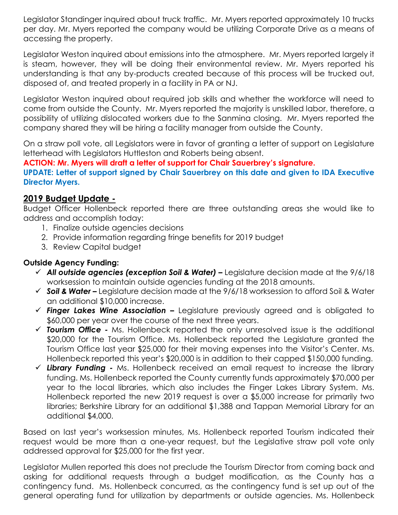Legislator Standinger inquired about truck traffic. Mr. Myers reported approximately 10 trucks per day. Mr. Myers reported the company would be utilizing Corporate Drive as a means of accessing the property.

Legislator Weston inquired about emissions into the atmosphere. Mr. Myers reported largely it is steam, however, they will be doing their environmental review. Mr. Myers reported his understanding is that any by-products created because of this process will be trucked out, disposed of, and treated properly in a facility in PA or NJ.

Legislator Weston inquired about required job skills and whether the workforce will need to come from outside the County. Mr. Myers reported the majority is unskilled labor, therefore, a possibility of utilizing dislocated workers due to the Sanmina closing. Mr. Myers reported the company shared they will be hiring a facility manager from outside the County.

On a straw poll vote, all Legislators were in favor of granting a letter of support on Legislature letterhead with Legislators Huttleston and Roberts being absent.

**ACTION: Mr. Myers will draft a letter of support for Chair Sauerbrey's signature.** 

**UPDATE: Letter of support signed by Chair Sauerbrey on this date and given to IDA Executive Director Myers.** 

# **2019 Budget Update -**

Budget Officer Hollenbeck reported there are three outstanding areas she would like to address and accomplish today:

- 1. Finalize outside agencies decisions
- 2. Provide information regarding fringe benefits for 2019 budget
- 3. Review Capital budget

#### **Outside Agency Funding:**

- *All outside agencies (exception Soil & Water) –* Legislature decision made at the 9/6/18 worksession to maintain outside agencies funding at the 2018 amounts.
- *Soil & Water –* Legislature decision made at the 9/6/18 worksession to afford Soil & Water an additional \$10,000 increase.
- *Finger Lakes Wine Association –* Legislature previously agreed and is obligated to \$60,000 per year over the course of the next three years.
- *Tourism Office -* Ms. Hollenbeck reported the only unresolved issue is the additional \$20,000 for the Tourism Office. Ms. Hollenbeck reported the Legislature granted the Tourism Office last year \$25,000 for their moving expenses into the Visitor's Center. Ms. Hollenbeck reported this year's \$20,000 is in addition to their capped \$150,000 funding.
- *Library Funding -* Ms. Hollenbeck received an email request to increase the library funding. Ms. Hollenbeck reported the County currently funds approximately \$70,000 per year to the local libraries, which also includes the Finger Lakes Library System. Ms. Hollenbeck reported the new 2019 request is over a \$5,000 increase for primarily two libraries; Berkshire Library for an additional \$1,388 and Tappan Memorial Library for an additional \$4,000.

Based on last year's worksession minutes, Ms. Hollenbeck reported Tourism indicated their request would be more than a one-year request, but the Legislative straw poll vote only addressed approval for \$25,000 for the first year.

Legislator Mullen reported this does not preclude the Tourism Director from coming back and asking for additional requests through a budget modification, as the County has a contingency fund. Ms. Hollenbeck concurred, as the contingency fund is set up out of the general operating fund for utilization by departments or outside agencies. Ms. Hollenbeck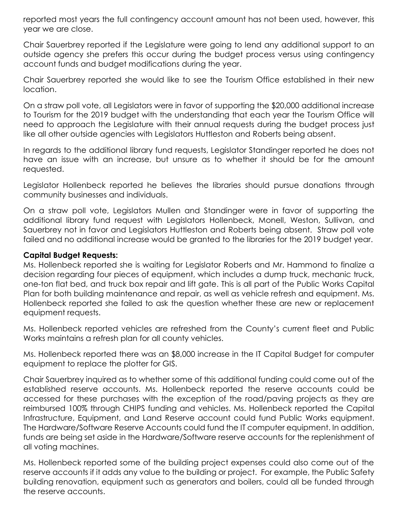reported most years the full contingency account amount has not been used, however, this year we are close.

Chair Sauerbrey reported if the Legislature were going to lend any additional support to an outside agency she prefers this occur during the budget process versus using contingency account funds and budget modifications during the year.

Chair Sauerbrey reported she would like to see the Tourism Office established in their new location.

On a straw poll vote, all Legislators were in favor of supporting the \$20,000 additional increase to Tourism for the 2019 budget with the understanding that each year the Tourism Office will need to approach the Legislature with their annual requests during the budget process just like all other outside agencies with Legislators Huttleston and Roberts being absent.

In regards to the additional library fund requests, Legislator Standinger reported he does not have an issue with an increase, but unsure as to whether it should be for the amount requested.

Legislator Hollenbeck reported he believes the libraries should pursue donations through community businesses and individuals.

On a straw poll vote, Legislators Mullen and Standinger were in favor of supporting the additional library fund request with Legislators Hollenbeck, Monell, Weston, Sullivan, and Sauerbrey not in favor and Legislators Huttleston and Roberts being absent. Straw poll vote failed and no additional increase would be granted to the libraries for the 2019 budget year.

#### **Capital Budget Requests:**

Ms. Hollenbeck reported she is waiting for Legislator Roberts and Mr. Hammond to finalize a decision regarding four pieces of equipment, which includes a dump truck, mechanic truck, one-ton flat bed, and truck box repair and lift gate. This is all part of the Public Works Capital Plan for both building maintenance and repair, as well as vehicle refresh and equipment. Ms. Hollenbeck reported she failed to ask the question whether these are new or replacement equipment requests.

Ms. Hollenbeck reported vehicles are refreshed from the County's current fleet and Public Works maintains a refresh plan for all county vehicles.

Ms. Hollenbeck reported there was an \$8,000 increase in the IT Capital Budget for computer equipment to replace the plotter for GIS.

Chair Sauerbrey inquired as to whether some of this additional funding could come out of the established reserve accounts. Ms. Hollenbeck reported the reserve accounts could be accessed for these purchases with the exception of the road/paving projects as they are reimbursed 100% through CHIPS funding and vehicles. Ms. Hollenbeck reported the Capital Infrastructure, Equipment, and Land Reserve account could fund Public Works equipment. The Hardware/Software Reserve Accounts could fund the IT computer equipment. In addition, funds are being set aside in the Hardware/Software reserve accounts for the replenishment of all voting machines.

Ms. Hollenbeck reported some of the building project expenses could also come out of the reserve accounts if it adds any value to the building or project. For example, the Public Safety building renovation, equipment such as generators and boilers, could all be funded through the reserve accounts.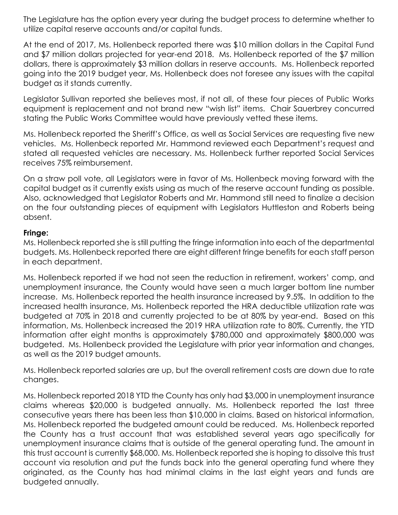The Legislature has the option every year during the budget process to determine whether to utilize capital reserve accounts and/or capital funds.

At the end of 2017, Ms. Hollenbeck reported there was \$10 million dollars in the Capital Fund and \$7 million dollars projected for year-end 2018. Ms. Hollenbeck reported of the \$7 million dollars, there is approximately \$3 million dollars in reserve accounts. Ms. Hollenbeck reported going into the 2019 budget year, Ms. Hollenbeck does not foresee any issues with the capital budget as it stands currently.

Legislator Sullivan reported she believes most, if not all, of these four pieces of Public Works equipment is replacement and not brand new "wish list" items. Chair Sauerbrey concurred stating the Public Works Committee would have previously vetted these items.

Ms. Hollenbeck reported the Sheriff's Office, as well as Social Services are requesting five new vehicles. Ms. Hollenbeck reported Mr. Hammond reviewed each Department's request and stated all requested vehicles are necessary. Ms. Hollenbeck further reported Social Services receives 75% reimbursement.

On a straw poll vote, all Legislators were in favor of Ms. Hollenbeck moving forward with the capital budget as it currently exists using as much of the reserve account funding as possible. Also, acknowledged that Legislator Roberts and Mr. Hammond still need to finalize a decision on the four outstanding pieces of equipment with Legislators Huttleston and Roberts being absent.

#### **Fringe:**

Ms. Hollenbeck reported she is still putting the fringe information into each of the departmental budgets. Ms. Hollenbeck reported there are eight different fringe benefits for each staff person in each department.

Ms. Hollenbeck reported if we had not seen the reduction in retirement, workers' comp, and unemployment insurance, the County would have seen a much larger bottom line number increase. Ms. Hollenbeck reported the health insurance increased by 9.5%. In addition to the increased health insurance, Ms. Hollenbeck reported the HRA deductible utilization rate was budgeted at 70% in 2018 and currently projected to be at 80% by year-end. Based on this information, Ms. Hollenbeck increased the 2019 HRA utilization rate to 80%. Currently, the YTD information after eight months is approximately \$780,000 and approximately \$800,000 was budgeted. Ms. Hollenbeck provided the Legislature with prior year information and changes, as well as the 2019 budget amounts.

Ms. Hollenbeck reported salaries are up, but the overall retirement costs are down due to rate changes.

Ms. Hollenbeck reported 2018 YTD the County has only had \$3,000 in unemployment insurance claims whereas \$20,000 is budgeted annually. Ms. Hollenbeck reported the last three consecutive years there has been less than \$10,000 in claims. Based on historical information, Ms. Hollenbeck reported the budgeted amount could be reduced. Ms. Hollenbeck reported the County has a trust account that was established several years ago specifically for unemployment insurance claims that is outside of the general operating fund. The amount in this trust account is currently \$68,000. Ms. Hollenbeck reported she is hoping to dissolve this trust account via resolution and put the funds back into the general operating fund where they originated, as the County has had minimal claims in the last eight years and funds are budgeted annually.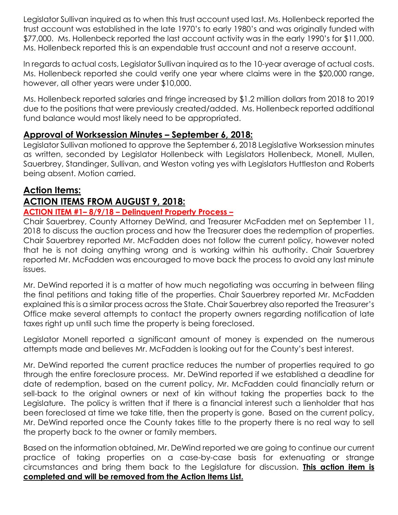Legislator Sullivan inquired as to when this trust account used last. Ms. Hollenbeck reported the trust account was established in the late 1970's to early 1980's and was originally funded with \$77,000. Ms. Hollenbeck reported the last account activity was in the early 1990's for \$11,000. Ms. Hollenbeck reported this is an expendable trust account and not a reserve account.

In regards to actual costs, Legislator Sullivan inquired as to the 10-year average of actual costs. Ms. Hollenbeck reported she could verify one year where claims were in the \$20,000 range, however, all other years were under \$10,000.

Ms. Hollenbeck reported salaries and fringe increased by \$1.2 million dollars from 2018 to 2019 due to the positions that were previously created/added. Ms. Hollenbeck reported additional fund balance would most likely need to be appropriated.

# **Approval of Worksession Minutes – September 6, 2018:**

Legislator Sullivan motioned to approve the September 6, 2018 Legislative Worksession minutes as written, seconded by Legislator Hollenbeck with Legislators Hollenbeck, Monell, Mullen, Sauerbrey, Standinger, Sullivan, and Weston voting yes with Legislators Huttleston and Roberts being absent. Motion carried.

# **Action Items:**

# **ACTION ITEMS FROM AUGUST 9, 2018:**

#### **ACTION ITEM #1– 8/9/18 – Delinquent Property Process –**

Chair Sauerbrey, County Attorney DeWind, and Treasurer McFadden met on September 11, 2018 to discuss the auction process and how the Treasurer does the redemption of properties. Chair Sauerbrey reported Mr. McFadden does not follow the current policy, however noted that he is not doing anything wrong and is working within his authority. Chair Sauerbrey reported Mr. McFadden was encouraged to move back the process to avoid any last minute issues.

Mr. DeWind reported it is a matter of how much negotiating was occurring in between filing the final petitions and taking title of the properties. Chair Sauerbrey reported Mr. McFadden explained this is a similar process across the State. Chair Sauerbrey also reported the Treasurer's Office make several attempts to contact the property owners regarding notification of late taxes right up until such time the property is being foreclosed.

Legislator Monell reported a significant amount of money is expended on the numerous attempts made and believes Mr. McFadden is looking out for the County's best interest.

Mr. DeWind reported the current practice reduces the number of properties required to go through the entire foreclosure process. Mr. DeWind reported if we established a deadline for date of redemption, based on the current policy, Mr. McFadden could financially return or sell-back to the original owners or next of kin without taking the properties back to the Legislature. The policy is written that if there is a financial interest such a lienholder that has been foreclosed at time we take title, then the property is gone. Based on the current policy, Mr. DeWind reported once the County takes title to the property there is no real way to sell the property back to the owner or family members.

Based on the information obtained, Mr. DeWind reported we are going to continue our current practice of taking properties on a case-by-case basis for extenuating or strange circumstances and bring them back to the Legislature for discussion. **This action item is completed and will be removed from the Action Items List.**